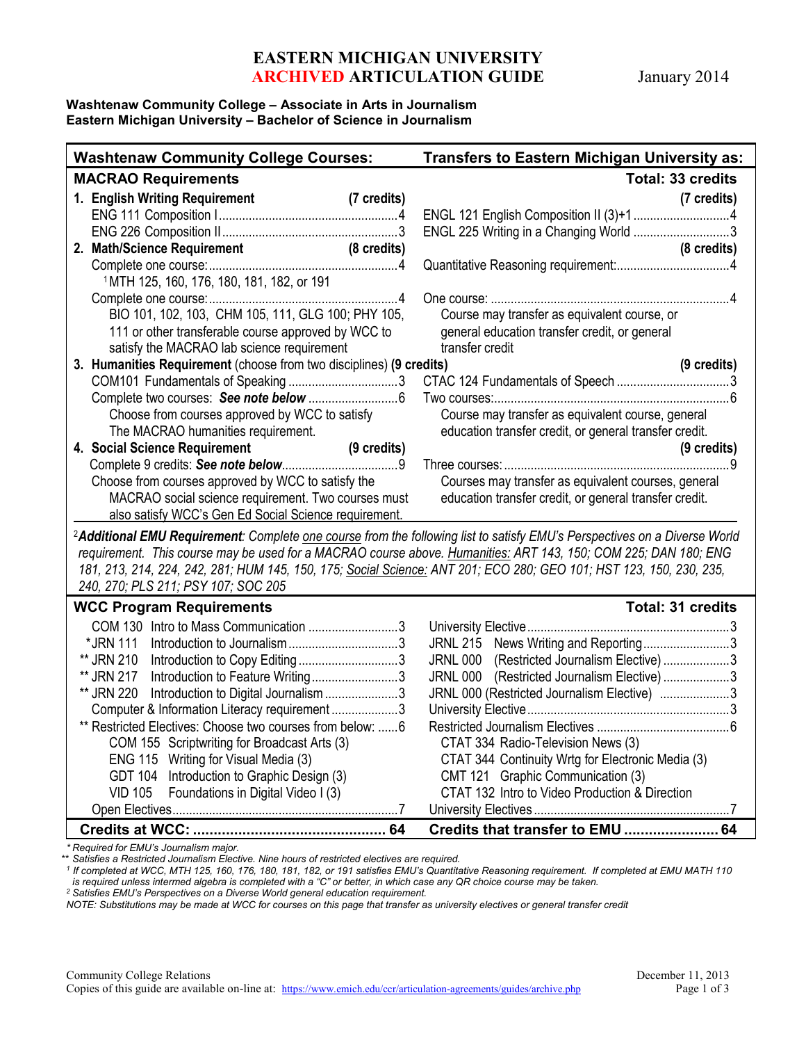## **EASTERN MICHIGAN UNIVERSITY ARCHIVED ARTICULATION GUIDE** January 2014

### **Washtenaw Community College – Associate in Arts in Journalism Eastern Michigan University – Bachelor of Science in Journalism**

| <b>Washtenaw Community College Courses:</b> |                                                                                      |  | <b>Transfers to Eastern Michigan University as:</b>                                                         |                       |
|---------------------------------------------|--------------------------------------------------------------------------------------|--|-------------------------------------------------------------------------------------------------------------|-----------------------|
| <b>MACRAO Requirements</b>                  |                                                                                      |  | <b>Total: 33 credits</b>                                                                                    |                       |
|                                             | 1. English Writing Requirement<br>(7 credits)                                        |  |                                                                                                             | (7 credits)           |
|                                             |                                                                                      |  |                                                                                                             |                       |
|                                             |                                                                                      |  | ENGL 225 Writing in a Changing World 3                                                                      |                       |
|                                             | 2. Math/Science Requirement (8 credits)                                              |  |                                                                                                             | (8 credits)           |
|                                             |                                                                                      |  |                                                                                                             |                       |
|                                             | 1MTH 125, 160, 176, 180, 181, 182, or 191                                            |  |                                                                                                             |                       |
|                                             |                                                                                      |  |                                                                                                             |                       |
|                                             | BIO 101, 102, 103, CHM 105, 111, GLG 100; PHY 105,                                   |  | Course may transfer as equivalent course, or                                                                |                       |
|                                             | 111 or other transferable course approved by WCC to                                  |  | general education transfer credit, or general                                                               |                       |
|                                             | satisfy the MACRAO lab science requirement                                           |  | transfer credit                                                                                             |                       |
|                                             |                                                                                      |  |                                                                                                             | $(9 \text{ credits})$ |
|                                             |                                                                                      |  |                                                                                                             |                       |
|                                             |                                                                                      |  |                                                                                                             |                       |
|                                             | Choose from courses approved by WCC to satisfy<br>The MACRAO humanities requirement. |  | Course may transfer as equivalent course, general<br>education transfer credit, or general transfer credit. |                       |
|                                             |                                                                                      |  |                                                                                                             |                       |
|                                             | 4. Social Science Requirement<br>(9 credits)                                         |  |                                                                                                             | $(9 \text{ credits})$ |
|                                             |                                                                                      |  |                                                                                                             |                       |
|                                             | Choose from courses approved by WCC to satisfy the                                   |  | Courses may transfer as equivalent courses, general                                                         |                       |
|                                             | MACRAO social science requirement. Two courses must                                  |  | education transfer credit, or general transfer credit.                                                      |                       |
|                                             | also satisfy WCC's Gen Ed Social Science requirement.                                |  |                                                                                                             |                       |
|                                             | 3. Humanities Requirement (choose from two disciplines) (9 credits)                  |  |                                                                                                             |                       |

<sup>2</sup>*Additional EMU Requirement: Complete one course from the following list to satisfy EMU's Perspectives on a Diverse World requirement. This course may be used for a MACRAO course above. Humanities: ART 143, 150; COM 225; DAN 180; ENG 181, 213, 214, 224, 242, 281; HUM 145, 150, 175; Social Science: ANT 201; ECO 280; GEO 101; HST 123, 150, 230, 235, 240, 270; PLS 211; PSY 107; SOC 205*

## **WCC Program Requirements Total: 31 credits**

| 1100 - 1091 anii 1109 an 01110 1110                       |                                                   |
|-----------------------------------------------------------|---------------------------------------------------|
| COM 130 Intro to Mass Communication 3                     |                                                   |
| *JRN 111                                                  | JRNL 215 News Writing and Reporting3              |
| ** JRN 210 Introduction to Copy Editing3                  | JRNL 000 (Restricted Journalism Elective)3        |
| ** JRN 217 Introduction to Feature Writing3               | JRNL 000 (Restricted Journalism Elective)3        |
| ** JRN 220 Introduction to Digital Journalism 3           | JRNL 000 (Restricted Journalism Elective) 3       |
| Computer & Information Literacy requirement3              |                                                   |
| ** Restricted Electives: Choose two courses from below: 6 |                                                   |
| COM 155 Scriptwriting for Broadcast Arts (3)              | CTAT 334 Radio-Television News (3)                |
| ENG 115 Writing for Visual Media (3)                      | CTAT 344 Continuity Wrtg for Electronic Media (3) |
| GDT 104 Introduction to Graphic Design (3)                | CMT 121 Graphic Communication (3)                 |
| VID 105 Foundations in Digital Video I (3)                | CTAT 132 Intro to Video Production & Direction    |
|                                                           |                                                   |
|                                                           |                                                   |

*\* Required for EMU's Journalism major.*

*\*\* Satisfies a Restricted Journalism Elective. Nine hours of restricted electives are required.*

*<sup>1</sup> If completed at WCC, MTH 125, 160, 176, 180, 181, 182, or 191 satisfies EMU's Quantitative Reasoning requirement. If completed at EMU MATH 110*

is required unless intermed algebra is completed with a "C" or better, in which case any QR choice course may be taken.<br><sup>2</sup> Satisfies EMU's Perspectives on a Diverse World general education requirement.

*NOTE: Substitutions may be made at WCC for courses on this page that transfer as university electives or general transfer credit*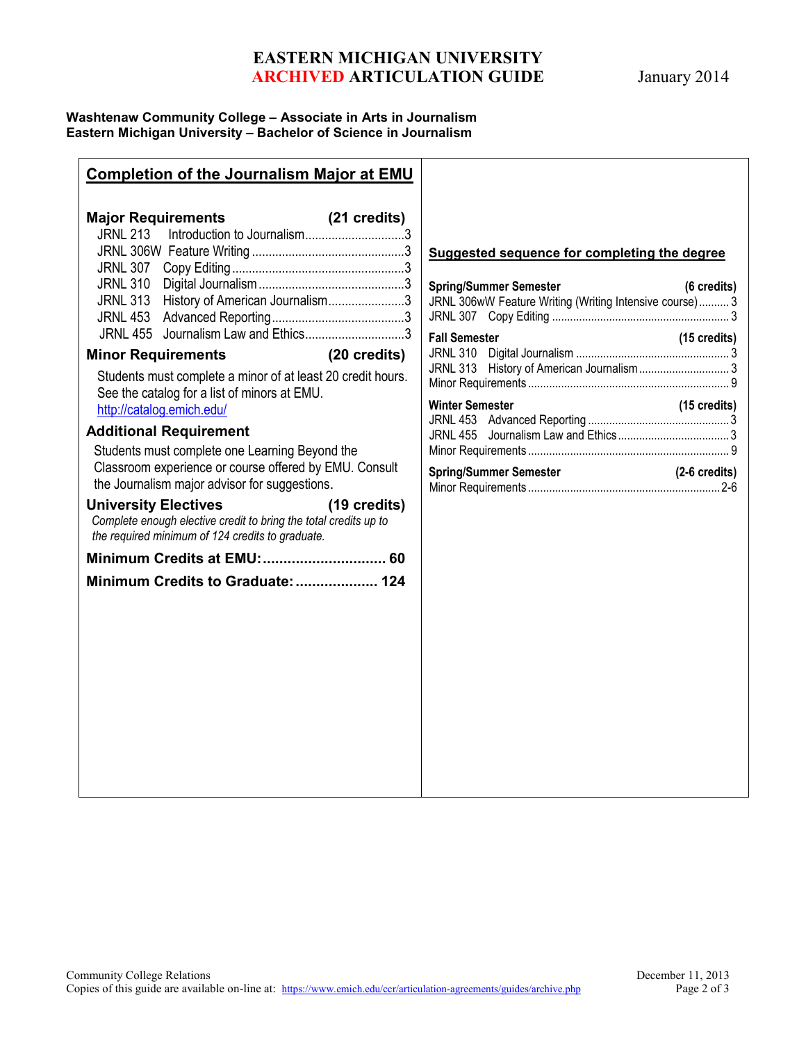# **EASTERN MICHIGAN UNIVERSITY ARCHIVED ARTICULATION GUIDE** January 2014

### **Washtenaw Community College – Associate in Arts in Journalism Eastern Michigan University – Bachelor of Science in Journalism**

## **Completion of the Journalism Major at EMU Major Requirements (21 credits)** JRNL 213 Introduction to Journalism..............................3 JRNL 306W Feature Writing ..............................................3 JRNL 307 Copy Editing....................................................3 JRNL 310 Digital Journalism............................................3 JRNL 313 History of American Journalism.......................3 JRNL 453 Advanced Reporting........................................3 JRNL 455 Journalism Law and Ethics..............................3 **Minor Requirements (20 credits)** Students must complete a minor of at least 20 credit hours. See the catalog for a list of minors at EMU. <http://catalog.emich.edu/> **Additional Requirement** Students must complete one Learning Beyond the Classroom experience or course offered by EMU. Consult the Journalism major advisor for suggestions. **University Electives (19 credits)** *Complete enough elective credit to bring the total credits up to the required minimum of 124 credits to graduate.* **Minimum Credits at EMU:.............................. 60 Minimum Credits to Graduate:.................... 124 Suggested sequence for completing the degree Spring/Summer Semester (6 credits)** JRNL 306wW Feature Writing (Writing Intensive course).......... 3 JRNL 307 Copy Editing ........................................................... 3 **Fall Semester (15 credits)** JRNL 310 Digital Journalism ................................................... 3 JRNL 313 History of American Journalism.............................. 3 Minor Requirements ................................................................... 9 **Winter Semester (15 credits)** JRNL 453 Advanced Reporting ............................................... 3 JRNL 455 Journalism Law and Ethics ..................................... 3 Minor Requirements ................................................................... 9 **Spring/Summer Semester (2-6 credits)** Minor Requirements ................................................................2-6